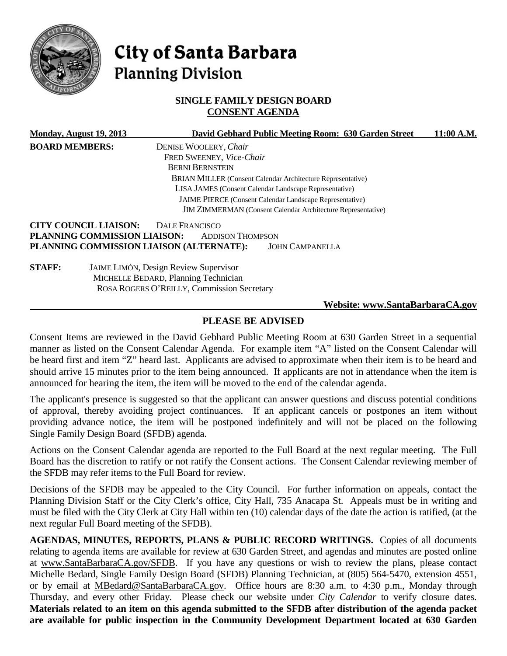

# City of Santa Barbara **Planning Division**

# **SINGLE FAMILY DESIGN BOARD CONSENT AGENDA**

|                       | Monday, August 19, 2013      | David Gebhard Public Meeting Room: 630 Garden Street                | 11:00 A.M. |
|-----------------------|------------------------------|---------------------------------------------------------------------|------------|
| <b>BOARD MEMBERS:</b> |                              | DENISE WOOLERY, Chair                                               |            |
|                       |                              | FRED SWEENEY, Vice-Chair                                            |            |
|                       |                              | <b>BERNI BERNSTEIN</b>                                              |            |
|                       |                              | <b>BRIAN MILLER (Consent Calendar Architecture Representative)</b>  |            |
|                       |                              | LISA JAMES (Consent Calendar Landscape Representative)              |            |
|                       |                              | JAIME PIERCE (Consent Calendar Landscape Representative)            |            |
|                       |                              | <b>JIM ZIMMERMAN</b> (Consent Calendar Architecture Representative) |            |
|                       | <b>CITY COUNCIL LIAISON:</b> | <b>DALE FRANCISCO</b>                                               |            |
|                       | PLANNING COMMISSION LIAISON: | <b>ADDISON THOMPSON</b>                                             |            |
|                       |                              | PLANNING COMMISSION LIAISON (ALTERNATE):<br><b>JOHN CAMPANELLA</b>  |            |
| <b>STAFF:</b>         |                              | <b>JAIME LIMÓN, Design Review Supervisor</b>                        |            |
|                       |                              | MICHELLE BEDARD, Planning Technician                                |            |
|                       |                              | ROSA ROGERS O'REILLY, Commission Secretary                          |            |
|                       |                              | Website: www.SantaBarbaraCA.gov                                     |            |

# **PLEASE BE ADVISED**

Consent Items are reviewed in the David Gebhard Public Meeting Room at 630 Garden Street in a sequential manner as listed on the Consent Calendar Agenda. For example item "A" listed on the Consent Calendar will be heard first and item "Z" heard last. Applicants are advised to approximate when their item is to be heard and should arrive 15 minutes prior to the item being announced. If applicants are not in attendance when the item is announced for hearing the item, the item will be moved to the end of the calendar agenda.

The applicant's presence is suggested so that the applicant can answer questions and discuss potential conditions of approval, thereby avoiding project continuances. If an applicant cancels or postpones an item without providing advance notice, the item will be postponed indefinitely and will not be placed on the following Single Family Design Board (SFDB) agenda.

Actions on the Consent Calendar agenda are reported to the Full Board at the next regular meeting. The Full Board has the discretion to ratify or not ratify the Consent actions. The Consent Calendar reviewing member of the SFDB may refer items to the Full Board for review.

Decisions of the SFDB may be appealed to the City Council. For further information on appeals, contact the Planning Division Staff or the City Clerk's office, City Hall, 735 Anacapa St. Appeals must be in writing and must be filed with the City Clerk at City Hall within ten (10) calendar days of the date the action is ratified, (at the next regular Full Board meeting of the SFDB).

**AGENDAS, MINUTES, REPORTS, PLANS & PUBLIC RECORD WRITINGS.** Copies of all documents relating to agenda items are available for review at 630 Garden Street, and agendas and minutes are posted online at [www.SantaBarbaraCA.gov/SFDB.](http://www.santabarbaraca.gov/ABR) If you have any questions or wish to review the plans, please contact Michelle Bedard, Single Family Design Board (SFDB) Planning Technician, at (805) 564-5470, extension 4551, or by email at [MBedard@SantaBarbaraCA.gov.](mailto:MBedard@SantaBarbaraCA.gov) Office hours are 8:30 a.m. to 4:30 p.m., Monday through Thursday, and every other Friday. Please check our website under *City Calendar* to verify closure dates. **Materials related to an item on this agenda submitted to the SFDB after distribution of the agenda packet are available for public inspection in the Community Development Department located at 630 Garden**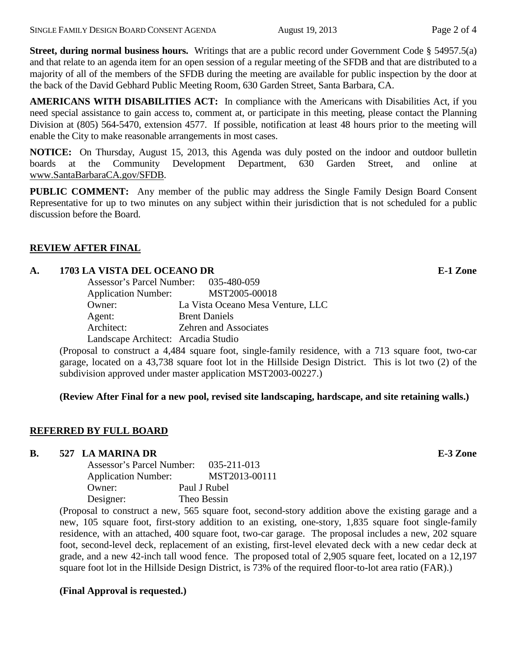**Street, during normal business hours.** Writings that are a public record under Government Code § 54957.5(a) and that relate to an agenda item for an open session of a regular meeting of the SFDB and that are distributed to a majority of all of the members of the SFDB during the meeting are available for public inspection by the door at the back of the David Gebhard Public Meeting Room, 630 Garden Street, Santa Barbara, CA.

**AMERICANS WITH DISABILITIES ACT:** In compliance with the Americans with Disabilities Act, if you need special assistance to gain access to, comment at, or participate in this meeting, please contact the Planning Division at (805) 564-5470, extension 4577. If possible, notification at least 48 hours prior to the meeting will enable the City to make reasonable arrangements in most cases.

**NOTICE:** On Thursday, August 15, 2013, this Agenda was duly posted on the indoor and outdoor bulletin boards at the Community Development Department, 630 Garden Street, and online at [www.SantaBarbaraCA.gov/SFDB.](http://www.santabarbaraca.gov/sfdb)

**PUBLIC COMMENT:** Any member of the public may address the Single Family Design Board Consent Representative for up to two minutes on any subject within their jurisdiction that is not scheduled for a public discussion before the Board.

# **REVIEW AFTER FINAL**

### **A. 1703 LA VISTA DEL OCEANO DR E-1 Zone**

| Assessor's Parcel Number: 035-480-059 |                                   |
|---------------------------------------|-----------------------------------|
| <b>Application Number:</b>            | MST2005-00018                     |
| Owner:                                | La Vista Oceano Mesa Venture, LLC |
| Agent:                                | <b>Brent Daniels</b>              |
| Architect:                            | <b>Zehren and Associates</b>      |
| Landscape Architect: Arcadia Studio   |                                   |

(Proposal to construct a 4,484 square foot, single-family residence, with a 713 square foot, two-car garage, located on a 43,738 square foot lot in the Hillside Design District. This is lot two (2) of the subdivision approved under master application MST2003-00227.)

# **(Review After Final for a new pool, revised site landscaping, hardscape, and site retaining walls.)**

# **REFERRED BY FULL BOARD**

#### **B. 527 LA MARINA DR E-3 Zone**

Assessor's Parcel Number: 035-211-013 Application Number: MST2013-00111 Owner: Paul J Rubel Designer: Theo Bessin

(Proposal to construct a new, 565 square foot, second-story addition above the existing garage and a new, 105 square foot, first-story addition to an existing, one-story, 1,835 square foot single-family residence, with an attached, 400 square foot, two-car garage. The proposal includes a new, 202 square foot, second-level deck, replacement of an existing, first-level elevated deck with a new cedar deck at grade, and a new 42-inch tall wood fence. The proposed total of 2,905 square feet, located on a 12,197 square foot lot in the Hillside Design District, is 73% of the required floor-to-lot area ratio (FAR).)

#### **(Final Approval is requested.)**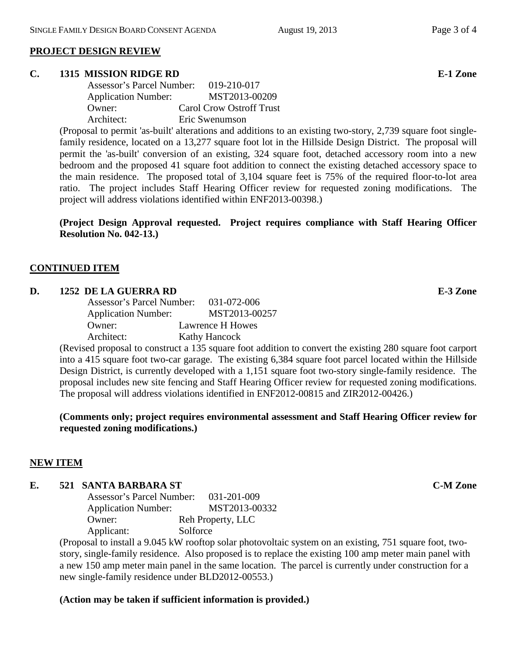#### **PROJECT DESIGN REVIEW**

#### **C. 1315 MISSION RIDGE RD E-1 Zone**

| Assessor's Parcel Number:  | 019-210-017              |
|----------------------------|--------------------------|
| <b>Application Number:</b> | MST2013-00209            |
| Owner:                     | Carol Crow Ostroff Trust |
| Architect:                 | Eric Swenumson           |

(Proposal to permit 'as-built' alterations and additions to an existing two-story, 2,739 square foot singlefamily residence, located on a 13,277 square foot lot in the Hillside Design District. The proposal will permit the 'as-built' conversion of an existing, 324 square foot, detached accessory room into a new bedroom and the proposed 41 square foot addition to connect the existing detached accessory space to the main residence. The proposed total of 3,104 square feet is 75% of the required floor-to-lot area ratio. The project includes Staff Hearing Officer review for requested zoning modifications. The project will address violations identified within ENF2013-00398.)

**(Project Design Approval requested. Project requires compliance with Staff Hearing Officer Resolution No. 042-13.)**

#### **CONTINUED ITEM**

#### **D. 1252 DE LA GUERRA RD E-3 Zone**

Assessor's Parcel Number: 031-072-006 Application Number: MST2013-00257 Owner: Lawrence H Howes Architect: Kathy Hancock

(Revised proposal to construct a 135 square foot addition to convert the existing 280 square foot carport into a 415 square foot two-car garage. The existing 6,384 square foot parcel located within the Hillside Design District, is currently developed with a 1,151 square foot two-story single-family residence. The proposal includes new site fencing and Staff Hearing Officer review for requested zoning modifications. The proposal will address violations identified in ENF2012-00815 and ZIR2012-00426.)

**(Comments only; project requires environmental assessment and Staff Hearing Officer review for requested zoning modifications.)**

#### **NEW ITEM**

#### **E. 521 SANTA BARBARA ST C-M Zone**

Assessor's Parcel Number: 031-201-009 Application Number: MST2013-00332 Owner: Reh Property, LLC Applicant: Solforce

(Proposal to install a 9.045 kW rooftop solar photovoltaic system on an existing, 751 square foot, twostory, single-family residence. Also proposed is to replace the existing 100 amp meter main panel with a new 150 amp meter main panel in the same location. The parcel is currently under construction for a new single-family residence under BLD2012-00553.)

#### **(Action may be taken if sufficient information is provided.)**